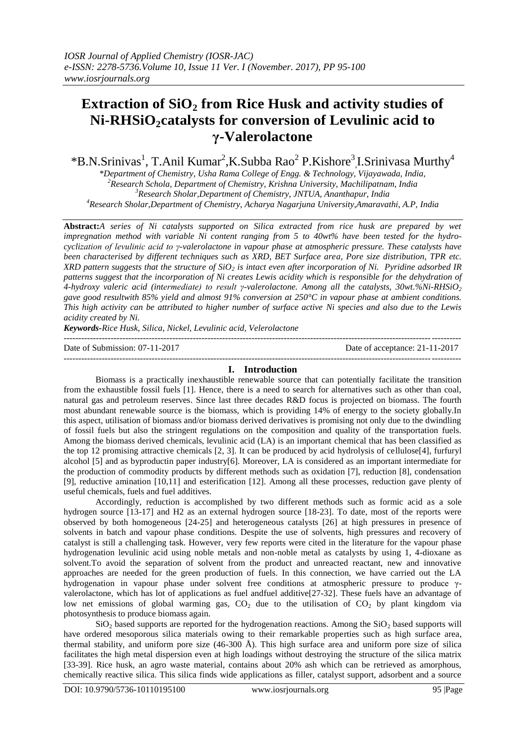# **Extraction of SiO<sup>2</sup> from Rice Husk and activity studies of Ni-RHSiO2catalysts for conversion of Levulinic acid to γ-Valerolactone**

\*B.N.Srinivas<sup>1</sup>, T.Anil Kumar<sup>2</sup>,K.Subba Rao<sup>2</sup> P.Kishore<sup>3</sup>,I.Srinivasa Murthy<sup>4</sup>

*\*Department of Chemistry, Usha Rama College of Engg. & Technology, Vijayawada, India, Research Schola, Department of Chemistry, Krishna University, Machilipatnam, India Research Sholar,Department of Chemistry, JNTUA, Ananthapur, India Research Sholar,Department of Chemistry, Acharya Nagarjuna University,Amaravathi, A.P, India*

**Abstract:***A series of Ni catalysts supported on Silica extracted from rice husk are prepared by wet impregnation method with variable Ni content ranging from 5 to 40wt% have been tested for the hydrocyclization of levulinic acid to γ-valerolactone in vapour phase at atmospheric pressure. These catalysts have been characterised by different techniques such as XRD, BET Surface area, Pore size distribution, TPR etc. XRD pattern suggests that the structure of SiO<sup>2</sup> is intact even after incorporation of Ni. Pyridine adsorbed IR patterns suggest that the incorporation of Ni creates Lewis acidity which is responsible for the dehydration of 4-hydroxy valeric acid (intermediate) to result γ-valerolactone. Among all the catalysts, 30wt.%Ni-RHSiO<sup>2</sup> gave good resultwith 85% yield and almost 91% conversion at 250°C in vapour phase at ambient conditions. This high activity can be attributed to higher number of surface active Ni species and also due to the Lewis acidity created by Ni.*

*Keywords-Rice Husk, Silica, Nickel, Levulinic acid, Velerolactone*

---------------------------------------------------------------------------------------------------------------------------------------

Date of Submission: 07-11-2017 Date of acceptance: 21-11-2017

#### **I. Introduction**

---------------------------------------------------------------------------------------------------------------------------------------

Biomass is a practically inexhaustible renewable source that can potentially facilitate the transition from the exhaustible fossil fuels [1]. Hence, there is a need to search for alternatives such as other than coal, natural gas and petroleum reserves. Since last three decades R&D focus is projected on biomass. The fourth most abundant renewable source is the biomass, which is providing 14% of energy to the society globally.In this aspect, utilisation of biomass and/or biomass derived derivatives is promising not only due to the dwindling of fossil fuels but also the stringent regulations on the composition and quality of the transportation fuels. Among the biomass derived chemicals, levulinic acid (LA) is an important chemical that has been classified as the top 12 promising attractive chemicals [2, 3]. It can be produced by acid hydrolysis of cellulose[4], furfuryl alcohol [5] and as byproductin paper industry[6]. Moreover, LA is considered as an important intermediate for the production of commodity products by different methods such as oxidation [7], reduction [8], condensation [9], reductive amination [10,11] and esterification [12]. Among all these processes, reduction gave plenty of useful chemicals, fuels and fuel additives.

Accordingly, reduction is accomplished by two different methods such as formic acid as a sole hydrogen source [13-17] and H2 as an external hydrogen source [18-23]. To date, most of the reports were observed by both homogeneous [24-25] and heterogeneous catalysts [26] at high pressures in presence of solvents in batch and vapour phase conditions. Despite the use of solvents, high pressures and recovery of catalyst is still a challenging task. However, very few reports were cited in the literature for the vapour phase hydrogenation levulinic acid using noble metals and non-noble metal as catalysts by using 1, 4-dioxane as solvent.To avoid the separation of solvent from the product and unreacted reactant, new and innovative approaches are needed for the green production of fuels. In this connection, we have carried out the LA hydrogenation in vapour phase under solvent free conditions at atmospheric pressure to produce γvalerolactone, which has lot of applications as fuel andfuel additive[27-32]. These fuels have an advantage of low net emissions of global warming gas,  $CO<sub>2</sub>$  due to the utilisation of  $CO<sub>2</sub>$  by plant kingdom via photosynthesis to produce biomass again.

 $SiO<sub>2</sub>$  based supports are reported for the hydrogenation reactions. Among the  $SiO<sub>2</sub>$  based supports will have ordered mesoporous silica materials owing to their remarkable properties such as high surface area, thermal stability, and uniform pore size (46-300 Å). This high surface area and uniform pore size of silica facilitates the high metal dispersion even at high loadings without destroying the structure of the silica matrix [33-39]. Rice husk, an agro waste material, contains about 20% ash which can be retrieved as amorphous, chemically reactive silica. This silica finds wide applications as filler, catalyst support, adsorbent and a source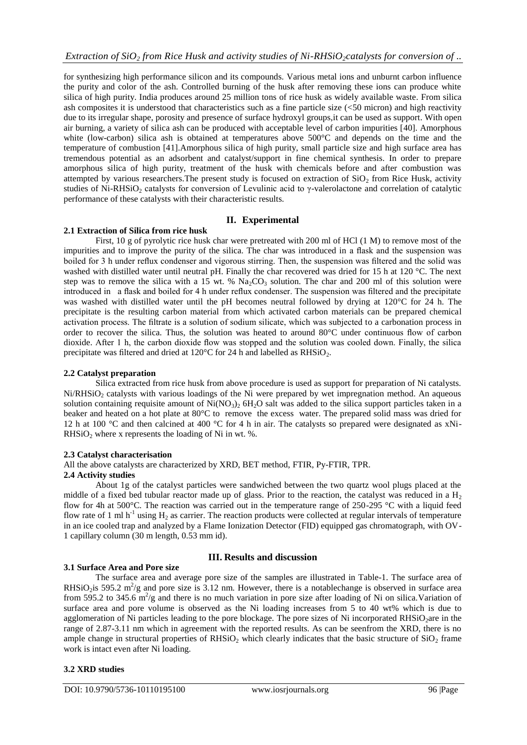for synthesizing high performance silicon and its compounds. Various metal ions and unburnt carbon influence the purity and color of the ash. Controlled burning of the husk after removing these ions can produce white silica of high purity. India produces around 25 million tons of rice husk as widely available waste. From silica ash composites it is understood that characteristics such as a fine particle size (<50 micron) and high reactivity due to its irregular shape, porosity and presence of surface hydroxyl groups,it can be used as support. With open air burning, a variety of silica ash can be produced with acceptable level of carbon impurities [40]. Amorphous white (low-carbon) silica ash is obtained at temperatures above 500°C and depends on the time and the temperature of combustion [41].Amorphous silica of high purity, small particle size and high surface area has tremendous potential as an adsorbent and catalyst/support in fine chemical synthesis. In order to prepare amorphous silica of high purity, treatment of the husk with chemicals before and after combustion was attempted by various researchers. The present study is focused on extraction of  $SiO<sub>2</sub>$  from Rice Husk, activity studies of Ni-RHSiO<sub>2</sub> catalysts for conversion of Levulinic acid to γ-valerolactone and correlation of catalytic performance of these catalysts with their characteristic results.

## **II. Experimental**

## **2.1 Extraction of Silica from rice husk**

First, 10 g of pyrolytic rice husk char were pretreated with 200 ml of HCl (1 M) to remove most of the impurities and to improve the purity of the silica. The char was introduced in a flask and the suspension was boiled for 3 h under reflux condenser and vigorous stirring. Then, the suspension was filtered and the solid was washed with distilled water until neutral pH. Finally the char recovered was dried for 15 h at 120 °C. The next step was to remove the silica with a 15 wt. %  $Na<sub>2</sub>CO<sub>3</sub>$  solution. The char and 200 ml of this solution were introduced in a flask and boiled for 4 h under reflux condenser. The suspension was filtered and the precipitate was washed with distilled water until the pH becomes neutral followed by drying at 120°C for 24 h. The precipitate is the resulting carbon material from which activated carbon materials can be prepared chemical activation process. The filtrate is a solution of sodium silicate, which was subjected to a carbonation process in order to recover the silica. Thus, the solution was heated to around 80°C under continuous flow of carbon dioxide. After 1 h, the carbon dioxide flow was stopped and the solution was cooled down. Finally, the silica precipitate was filtered and dried at 120 $^{\circ}$ C for 24 h and labelled as RHSiO<sub>2</sub>.

## **2.2 Catalyst preparation**

Silica extracted from rice husk from above procedure is used as support for preparation of Ni catalysts.  $Ni/RHSiO<sub>2</sub>$  catalysts with various loadings of the Ni were prepared by wet impregnation method. An aqueous solution containing requisite amount of  $Ni(NO<sub>3</sub>)<sub>2</sub> 6H<sub>2</sub>O$  salt was added to the silica support particles taken in a beaker and heated on a hot plate at 80°C to remove the excess water. The prepared solid mass was dried for 12 h at 100 °C and then calcined at 400 °C for 4 h in air. The catalysts so prepared were designated as xNi-RHSiO<sub>2</sub> where x represents the loading of Ni in wt. %.

#### **2.3 Catalyst characterisation**

## All the above catalysts are characterized by XRD, BET method, FTIR, Py-FTIR, TPR.

#### **2.4 Activity studies**

About 1g of the catalyst particles were sandwiched between the two quartz wool plugs placed at the middle of a fixed bed tubular reactor made up of glass. Prior to the reaction, the catalyst was reduced in a  $H_2$ flow for 4h at 500°C. The reaction was carried out in the temperature range of 250-295 °C with a liquid feed flow rate of 1 ml  $h^{-1}$  using  $H_2$  as carrier. The reaction products were collected at regular intervals of temperature in an ice cooled trap and analyzed by a Flame Ionization Detector (FID) equipped gas chromatograph, with OV-1 capillary column (30 m length, 0.53 mm id).

## **III. Results and discussion**

## **3.1 Surface Area and Pore size**

The surface area and average pore size of the samples are illustrated in Table-1. The surface area of RHSiO<sub>2</sub> is 595.2 m<sup>2</sup>/g and pore size is 3.12 nm. However, there is a notablechange is observed in surface area from 595.2 to 345.6  $m^2/g$  and there is no much variation in pore size after loading of Ni on silica. Variation of surface area and pore volume is observed as the Ni loading increases from 5 to 40 wt% which is due to agglomeration of Ni particles leading to the pore blockage. The pore sizes of Ni incorporated RHSiO<sub>2</sub>are in the range of 2.87-3.11 nm which in agreement with the reported results. As can be seenfrom the XRD, there is no ample change in structural properties of  $RHSiO<sub>2</sub>$  which clearly indicates that the basic structure of  $SiO<sub>2</sub>$  frame work is intact even after Ni loading.

## **3.2 XRD studies**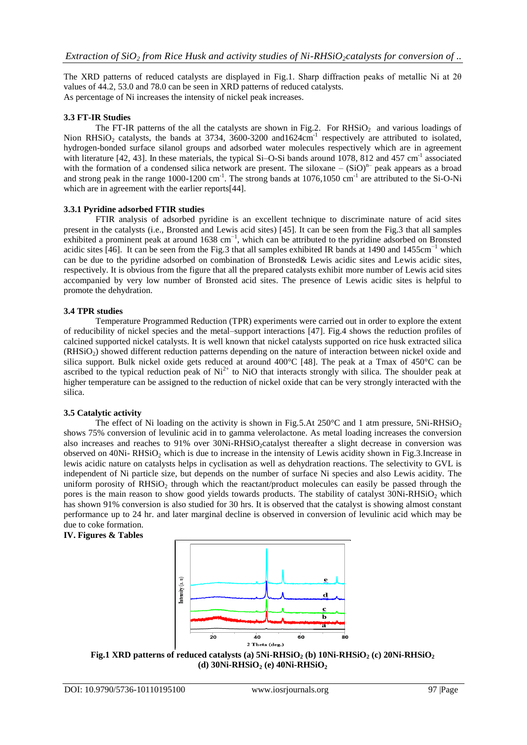The XRD patterns of reduced catalysts are displayed in Fig.1. Sharp diffraction peaks of metallic Ni at 2θ values of 44.2, 53.0 and 78.0 can be seen in XRD patterns of reduced catalysts. As percentage of Ni increases the intensity of nickel peak increases.

## **3.3 FT-IR Studies**

The FT-IR patterns of the all the catalysts are shown in Fig.2. For  $RHSiO<sub>2</sub>$  and various loadings of Nion RHSiO<sub>2</sub> catalysts, the bands at 3734, 3600-3200 and1624cm<sup>-1</sup> respectively are attributed to isolated, hydrogen-bonded surface silanol groups and adsorbed water molecules respectively which are in agreement with literature  $[42, 43]$ . In these materials, the typical Si-O-Si bands around 1078, 812 and 457 cm<sup>-1</sup> associated with the formation of a condensed silica network are present. The siloxane  $- (SiO)^{n-}$  peak appears as a broad and strong peak in the range 1000-1200 cm<sup>-1</sup>. The strong bands at 1076,1050 cm<sup>-1</sup> are attributed to the Si-O-Ni which are in agreement with the earlier reports[44].

## **3.3.1 Pyridine adsorbed FTIR studies**

FTIR analysis of adsorbed pyridine is an excellent technique to discriminate nature of acid sites present in the catalysts (i.e., Bronsted and Lewis acid sites) [45]. It can be seen from the Fig.3 that all samples exhibited a prominent peak at around 1638 cm<sup>-1</sup>, which can be attributed to the pyridine adsorbed on Bronsted acidic sites [46]. It can be seen from the Fig.3 that all samples exhibited IR bands at 1490 and 1455cm<sup>-1</sup> which can be due to the pyridine adsorbed on combination of Bronsted& Lewis acidic sites and Lewis acidic sites, respectively. It is obvious from the figure that all the prepared catalysts exhibit more number of Lewis acid sites accompanied by very low number of Bronsted acid sites. The presence of Lewis acidic sites is helpful to promote the dehydration.

#### **3.4 TPR studies**

Temperature Programmed Reduction (TPR) experiments were carried out in order to explore the extent of reducibility of nickel species and the metal–support interactions [47]. Fig.4 shows the reduction profiles of calcined supported nickel catalysts. It is well known that nickel catalysts supported on rice husk extracted silica (RHSiO2) showed different reduction patterns depending on the nature of interaction between nickel oxide and silica support. Bulk nickel oxide gets reduced at around 400°C [48]. The peak at a Tmax of 450°C can be ascribed to the typical reduction peak of  $Ni^{2+}$  to NiO that interacts strongly with silica. The shoulder peak at higher temperature can be assigned to the reduction of nickel oxide that can be very strongly interacted with the silica.

#### **3.5 Catalytic activity**

The effect of Ni loading on the activity is shown in Fig.5.At  $250^{\circ}$ C and 1 atm pressure,  $5Ni-RHSiO<sub>2</sub>$ shows 75% conversion of levulinic acid in to gamma velerolactone. As metal loading increases the conversion also increases and reaches to 91% over 30Ni-RHSiO<sub>2</sub>catalyst thereafter a slight decrease in conversion was observed on 40Ni- RHSiO<sub>2</sub> which is due to increase in the intensity of Lewis acidity shown in Fig.3.Increase in lewis acidic nature on catalysts helps in cyclisation as well as dehydration reactions. The selectivity to GVL is independent of Ni particle size, but depends on the number of surface Ni species and also Lewis acidity. The uniform porosity of RHSiO<sub>2</sub> through which the reactant/product molecules can easily be passed through the pores is the main reason to show good yields towards products. The stability of catalyst 30Ni-RHSiO<sub>2</sub> which has shown 91% conversion is also studied for 30 hrs. It is observed that the catalyst is showing almost constant performance up to 24 hr. and later marginal decline is observed in conversion of levulinic acid which may be due to coke formation.

## **IV. Figures & Tables**



**Fig.1 XRD patterns of reduced catalysts (a)**  $5Ni-RHSiO<sub>2</sub>$  **(b)**  $10Ni-RHSiO<sub>2</sub>$  **(c)**  $20Ni-RHSiO<sub>2</sub>$ **(d) 30Ni-RHSiO<sup>2</sup> (e) 40Ni-RHSiO<sup>2</sup>**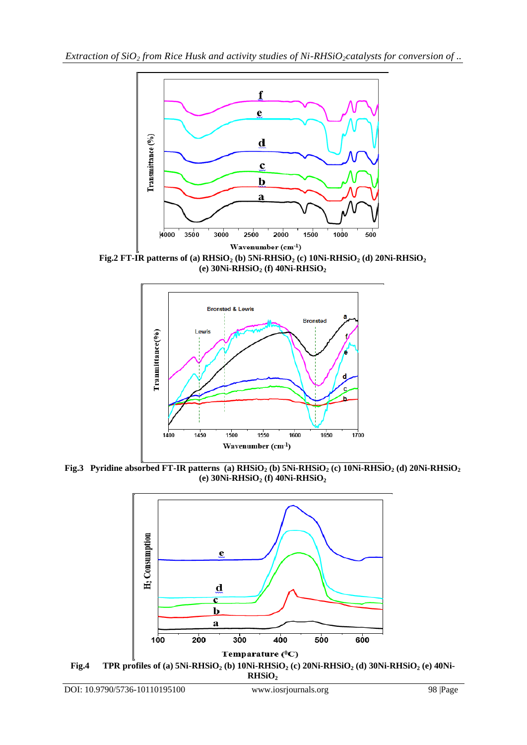

**Fig.2 FT-IR patterns of (a)**  $RHSiO<sub>2</sub>$  **<b>(b) 5Ni-RHSiO**<sub>2</sub> **(c) 10Ni-RHSiO**<sub>2</sub> **(d) 20Ni-RHSiO**<sub>2</sub> **(e) 30Ni-RHSiO<sup>2</sup> (f) 40Ni-RHSiO<sup>2</sup>**



**Fig.3 Pyridine absorbed FT-IR patterns (a) RHSiO<sup>2</sup> (b) 5Ni-RHSiO<sup>2</sup> (c) 10Ni-RHSiO<sup>2</sup> (d) 20Ni-RHSiO<sup>2</sup> (e) 30Ni-RHSiO<sup>2</sup> (f) 40Ni-RHSiO<sup>2</sup>**

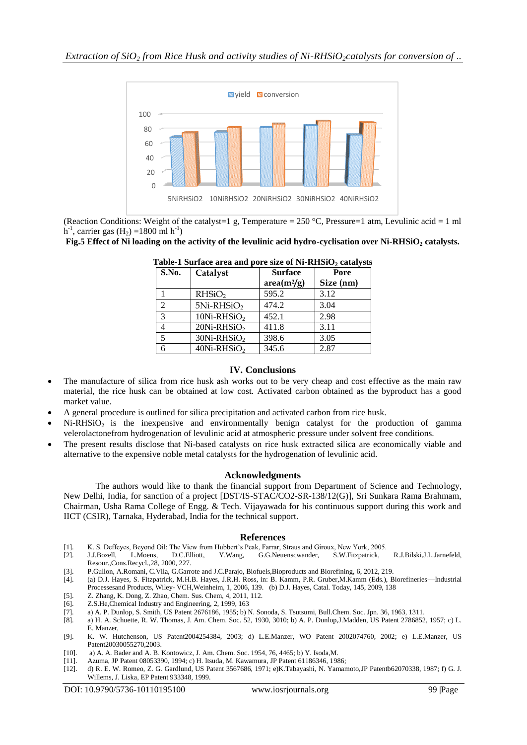

(Reaction Conditions: Weight of the catalyst=1 g, Temperature = 250 °C, Pressure=1 atm, Levulinic acid = 1 ml  $h^{-1}$ , carrier gas  $(H_2) = 1800$  ml  $h^{-1}$ )

**Fig.5 Effect of Ni loading on the activity of the levulinic acid hydro-cyclisation over Ni-RHSiO<sup>2</sup> catalysts.**

|                | $\mathbf{u}$ and $\mathbf{u}$ can be an and poly size of the Kindley callery set |                         |           |
|----------------|----------------------------------------------------------------------------------|-------------------------|-----------|
| S.No.          | Catalyst                                                                         | <b>Surface</b>          | Pore      |
|                |                                                                                  | area(m <sup>2</sup> /g) | Size (nm) |
|                | RHSiO <sub>2</sub>                                                               | 595.2                   | 3.12      |
| $\overline{2}$ | $5Ni-RHSiO2$                                                                     | 474.2                   | 3.04      |
| $\overline{3}$ | $10$ Ni-RHSiO <sub>2</sub>                                                       | 452.1                   | 2.98      |
| 4              | $20Ni-RHSiO2$                                                                    | 411.8                   | 3.11      |
| 5              | 30Ni-RHSiO <sub>2</sub>                                                          | 398.6                   | 3.05      |
| 6              | $40Ni-RHSiO2$                                                                    | 345.6                   | 2.87      |

| Table-1 Surface area and pore size of Ni-RHSiO2 catalysts |
|-----------------------------------------------------------|
|-----------------------------------------------------------|

## **IV. Conclusions**

- The manufacture of silica from rice husk ash works out to be very cheap and cost effective as the main raw material, the rice husk can be obtained at low cost. Activated carbon obtained as the byproduct has a good market value.
- A general procedure is outlined for silica precipitation and activated carbon from rice husk.
- $Ni-RHSiO<sub>2</sub>$  is the inexpensive and environmentally benign catalyst for the production of gamma velerolactonefrom hydrogenation of levulinic acid at atmospheric pressure under solvent free conditions.
- The present results disclose that Ni-based catalysts on rice husk extracted silica are economically viable and alternative to the expensive noble metal catalysts for the hydrogenation of levulinic acid.

#### **Acknowledgments**

The authors would like to thank the financial support from Department of Science and Technology, New Delhi, India, for sanction of a project [DST/IS-STAC/CO2-SR-138/12(G)], Sri Sunkara Rama Brahmam, Chairman, Usha Rama College of Engg. & Tech. Vijayawada for his continuous support during this work and IICT (CSIR), Tarnaka, Hyderabad, India for the technical support.

#### **References**

- [1]. K. S. Deffeyes, Beyond Oil: The View from Hubbert's Peak, Farrar, Straus and Giroux, New York, 2005.
- [2]. J.J.Bozell, L.Moens, D.C.Elliott, Y.Wang, G.G.Neuenscwander, S.W.Fitzpatrick, R.J.Bilski,J.L.Jarnefeld, Resour.,Cons.Recycl.,28, 2000, 227.
- [3]. P.Gullon, A.Romani, C.Vila, G.Garrote and J.C.Parajo, Biofuels,Bioproducts and Biorefining, 6, 2012, 219.
- [4]. (a) D.J. Hayes, S. Fitzpatrick, M.H.B. Hayes, J.R.H. Ross, in: B. Kamm, P.R. Gruber,M.Kamm (Eds.), Biorefineries—Industrial Processesand Products, Wiley- VCH,Weinheim, 1, 2006, 139. (b) D.J. Hayes, Catal. Today, 145, 2009, 138
- [5]. Z. Zhang, K. Dong, Z. Zhao, Chem. Sus. Chem, 4, 2011, 112. [6]. Z.S.He, Chemical Industry and Engineering, 2, 1999, 163
- Z.S.He,Chemical Industry and Engineering, 2, 1999, 163
- [7]. a) A. P. Dunlop, S. Smith, US Patent 2676186, 1955; b) N. Sonoda, S. Tsutsumi, Bull.Chem. Soc. Jpn. 36, 1963, 1311.
- [8]. a) H. A. Schuette, R. W. Thomas, J. Am. Chem. Soc. 52, 1930, 3010; b) A. P. Dunlop,J.Madden, US Patent 2786852, 1957; c) L. E. Manzer,
- [9]. K. W. Hutchenson, US Patent2004254384, 2003; d) L.E.Manzer, WO Patent 2002074760, 2002; e) L.E.Manzer, US Patent20030055270,2003.
- [10]. a) A. A. Bader and A. B. Kontowicz, J. Am. Chem. Soc. 1954, 76, 4465; b) Y. Isoda,M.
- [11]. Azuma, JP Patent 08053390, 1994; c) H. Itsuda, M. Kawamura, JP Patent 61186346, 1986;
- [12]. d) R. E. W. Romeo, Z. G. Gardlund, US Patent 3567686, 1971; e)K.Tabayashi, N. Yamamoto,JP Patentb62070338, 1987; f) G. J. Willems, J. Liska, EP Patent 933348, 1999.